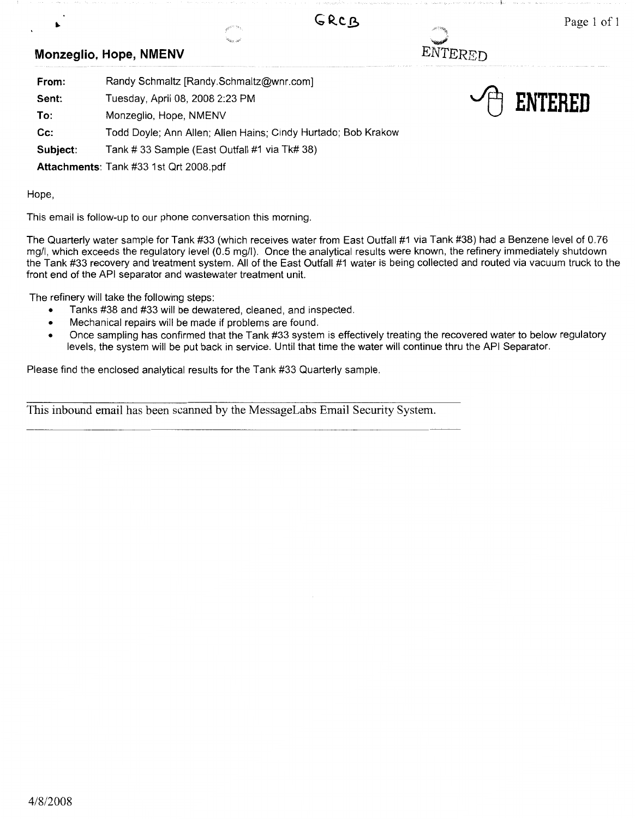# ...\_,·

ENTERED

~ **ENTERED** 

#### **Monzeglio, Hope, NMENV**

| Randy Schmaltz [Randy.Schmaltz@wnr.com]                       |
|---------------------------------------------------------------|
| Tuesday, April 08, 2008 2:23 PM                               |
| Monzeglio, Hope, NMENV                                        |
| Todd Doyle; Ann Allen; Allen Hains; Cindy Hurtado; Bob Krakow |
| Tank # 33 Sample (East Outfall #1 via Tk# 38)                 |
|                                                               |

**Attachments:** Tank #33 1st Qrt 2008.pdf

Hope,

This email is follow-up to our phone conversation this morning.

The Quarterly water sample for Tank #33 (which receives water from East Outfall #1 via Tank #38) had a Benzene level of 0.76 mg/I, which exceeds the regulatory level (0.5 mg/I). Once the analytical results were known, the refinery immediately shutdown the Tank #33 recovery and treatment system. All of the East Outfall #1 water is being collected and routed via vacuum truck to the front end of the API separator and wastewater treatment unit.

GRCB

The refinery will take the following steps:

- Tanks #38 and #33 will be dewatered, cleaned, and inspected.
- Mechanical repairs will be made if problems are found.
- Once sampling has confirmed that the Tank #33 system is effectively treating the recovered water to below regulatory levels, the system will be put back in service. Until that time the water will continue thru the API Separator.

Please find the enclosed analytical results for the Tank #33 Quarterly sample.

This inbound email has been scanned by the MessageLabs Email Security System.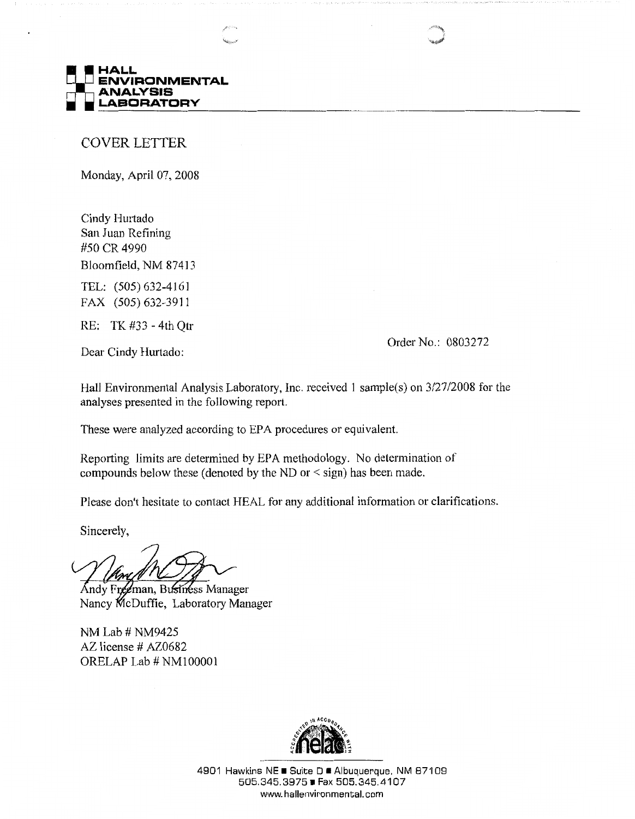

COVER LETTER

Monday, April 07, 2008

Cindy Hurtado San Juan Refining #50 CR 4990 Bloomfield, NM 87413

TEL: (505) 632-4161 FAX (505) 632-3911

RE: TK #33 - 4th Qtr

Dear Cindy Hurtado:

Order No.: 0803272

Hall Environmental Analysis Laboratory, Inc. received 1 sample(s) on 3/27/2008 for the analyses presented in the following report.

These were analyzed according to EPA procedures or equivalent.

Reporting limits are determined by EPA methodology. No determination of compounds below these (denoted by the ND or< sign) has been made.

Please don't hesitate to contact HEAL for any additional information or clarifications.

Sincerely,

Andy Freeman, Business Manager Nancy McDuffie, Laboratory Manager

NM Lab# NM9425 AZ license # AZ0682 ORELAP Lab# NMI0000l



4901 Hawkins NE ■ Suite D ■ Albuquerque, NM 87109 505.345.3975 • Fax 505.345.4107 www.hallenvironmental.com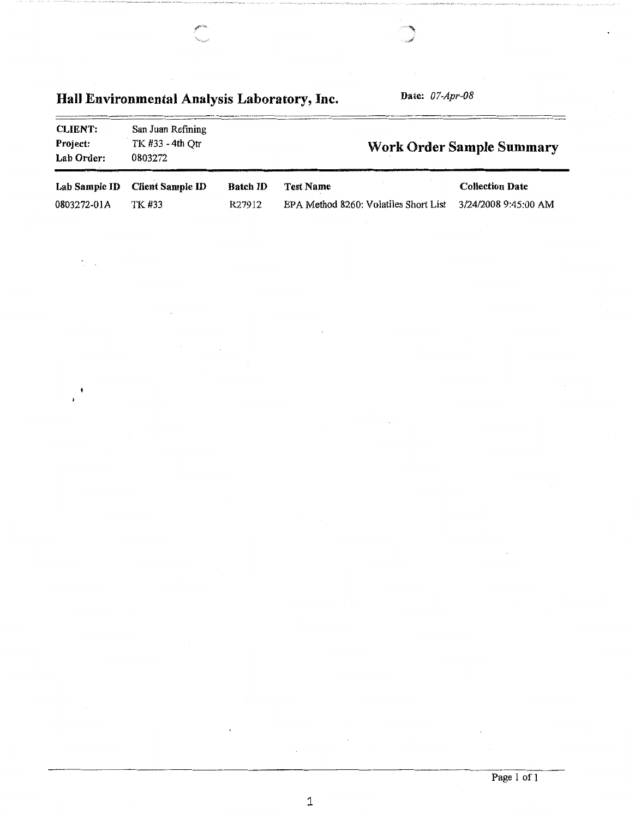#### Hall Environmental Analysis Laboratory, Inc. Date: *07-Apr-08*  CLIENT: Project: Lab Order: San Juan Refining TK #33 - 4th Qtr 0803272 Work Order Sample Summary

 $\tilde{\chi}$  .

 $\overline{\phantom{a}}$ ÿ

|             | Lab Sample ID Client Sample ID | <b>Batch ID</b> | Test Name                                                    | <b>Collection Date</b> |
|-------------|--------------------------------|-----------------|--------------------------------------------------------------|------------------------|
| 0803272-01A | TK #33                         | R27912          | EPA Method 8260: Volatiles Short List $3/24/2008$ 9:45:00 AM |                        |

1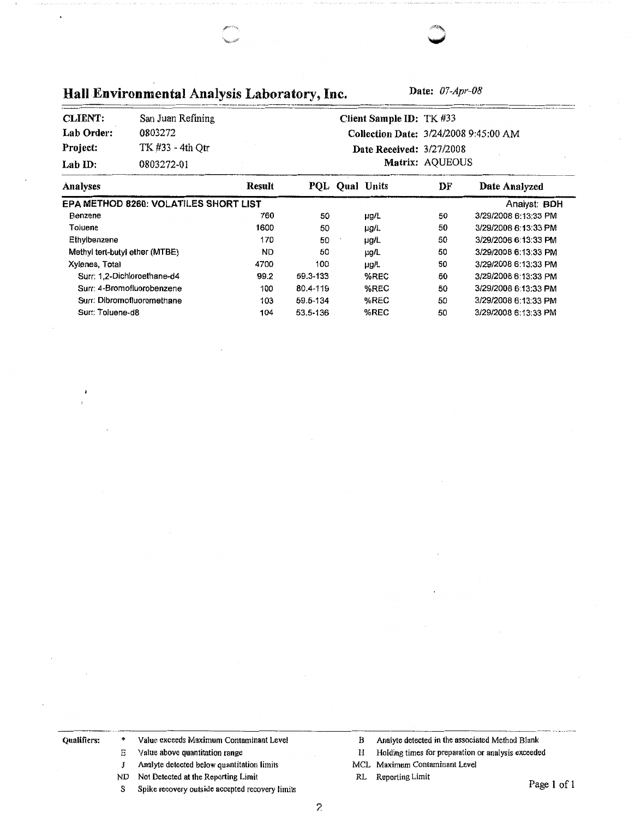Hall Environmental Analysis Laboratory, Inc. **Date:** *07-Apr-08* 

| <b>CLIENT:</b> | San Juan Refining | Client Sample ID: TK #33              |
|----------------|-------------------|---------------------------------------|
| Lab Order:     | 0803272           | Collection Date: 3/24/2008 9:45:00 AM |
| Project:       | TK #33 - 4th Otr  | <b>Date Received: 3/27/2008</b>       |
| Lab $ID:$      | 0803272-01        | Matrix: AQUEOUS                       |

| Analyses                              | Result | POL.     | <b>Oual Units</b> | DF | Date Analyzed        |
|---------------------------------------|--------|----------|-------------------|----|----------------------|
| EPA METHOD 8260: VOLATILES SHORT LIST |        |          |                   |    | Analyst: BDH         |
| Benzene                               | 760    | 50       | µg/L              | 50 | 3/29/2008 6:13:33 PM |
| Toluene                               | 1600   | 50       | µg/L              | 50 | 3/29/2008 6:13:33 PM |
| Ethylbenzene                          | 170    | 50       | µg/L              | 50 | 3/29/2008 6:13:33 PM |
| Methyl tert-butyl ether (MTBE)        | ND.    | 50       | µg/L              | 50 | 3/29/2008 6:13:33 PM |
| Xylenes, Total                        | 4700   | 100      | ug/L              | 50 | 3/29/2008 6:13:33 PM |
| Surr: 1.2-Dichloroethane-d4           | 99.2   | 59.3-133 | %REC              | 50 | 3/29/2008 6:13:33 PM |
| Surr: 4-Bromofluorobenzene            | 100    | 80.4-119 | %REC              | 50 | 3/29/2008 6:13:33 PM |
| Surr: Dibromofluoromethane            | 103    | 59.5-134 | %REC              | 50 | 3/29/2008 6:13:33 PM |
| Surr: Toluene-d8                      | 104    | 53.5-136 | %REC              | 50 | 3/29/2008 6:13:33 PM |

Qualifiers: \* Value exceeds Maximum Contaminant Level

- E Value above quantitation range
- J Analyte detected below quantitation limits
- ND Not Detected at the Reporting Limit
- S Spike recovery outside accepted recovery limits
- B Analyte detected in the associated Method Blank
- H Holding times for preparation or analysis exceeded
- MCL Maximum Contaminant Level
- RL Reporting Limit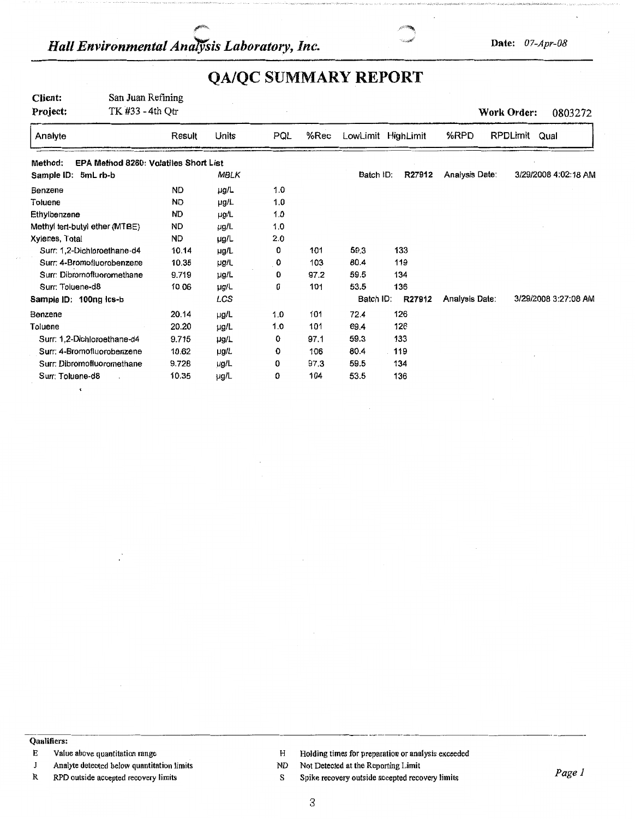## *Hall Environmental Analysis Laboratory, Inc.* **Date: 07-Apr-08**



## **QA/QC SUMMARY REPORT**

| Client:<br>Project:            | San Juan Refining<br>TK #33 - 4th Qtr |           |             |                  |      |                    |        |                | Work Order:<br>0803272 |
|--------------------------------|---------------------------------------|-----------|-------------|------------------|------|--------------------|--------|----------------|------------------------|
| Analyte                        |                                       | Result    | Units       | PQL              | %Rec | LowLimit HighLimit |        | %RPD           | RPDLimit<br>Qual       |
| Method:                        | EPA Method 8260: Volatiles Short List |           |             |                  |      |                    |        |                |                        |
| Sample ID:<br>5mL rb-b         |                                       |           | <b>MBLK</b> |                  |      | Batch ID:          | R27912 | Analysis Date: | 3/29/2008 4:02:18 AM   |
| Benzene                        |                                       | <b>ND</b> | µg/L        | 1.0 <sub>1</sub> |      |                    |        |                |                        |
| Toluene                        |                                       | <b>ND</b> | µg/L        | 1.0              |      |                    |        |                |                        |
| Ethylbenzene                   |                                       | <b>ND</b> | µg/L        | 1.0              |      |                    |        |                |                        |
| Methyl tert-butyl ether (MTBE) |                                       | ND        | µg/L        | 1.0              |      |                    |        |                |                        |
| Xylenes, Total                 |                                       | <b>ND</b> | $\mu$ g/L   | 2.0              |      |                    |        |                |                        |
| Surr: 1,2-Dichloroethane-d4    |                                       | 10.14     | µg/L        | 0                | 101  | 59.3               | 133    |                |                        |
| Surr: 4-Bromofluorobenzene     |                                       | 10.35     | µg/L        | 0                | 103  | 80.4               | 119    |                |                        |
| Surr: Dibromofluoromethane     |                                       | 9.719     | µg/L        | 0                | 97.2 | 59.5               | 134    |                |                        |
| Surr: Toluene-d8               |                                       | 10.06     | µg/L        | 0                | 101  | 53.5               | 136    |                |                        |
| Sample ID: 100ng Ics-b         |                                       |           | LCS         |                  |      | Batch ID:          | R27912 | Analysis Date: | 3/29/2008 3:27:08 AM   |
| Benzene                        |                                       | 20.14     | µg/L        | 1.0              | 101  | 72.4               | 126    |                |                        |
| Toluene                        |                                       | 20.20     | µg/L        | 1.0              | 101  | 69.4               | 126    |                |                        |
| Surr: 1,2-Dichloroethane-d4    |                                       | 9.715     | µg/L        | 0                | 97.1 | 59.3               | 133    |                |                        |
| Surr: 4-Bromofluorobenzene     |                                       | 10.62     | µg/L        | 0                | 106  | 80.4               | 119    |                |                        |
| Surr: Dibromofluoromethane     |                                       | 9.728     | µg/L        | 0                | 97.3 | 59.5               | 134    |                |                        |
| Surr: Toluene-d8               |                                       | 10.35     | µg/L        | 0                | 104  | 53.5               | 136    |                |                        |

 $\epsilon$ 

-----------------------------· -------- --------------·--- **Qualifiers:** 

J Analyte detected below quantitation limits

R RPD outside accepted recovery limits

E Value above quantitation range **H** Holding times for preparation or analysis exceeded

ND Not Detected at the Reporting Limit

S Spike recovery outside accepted recovery limits *Pagel* 

3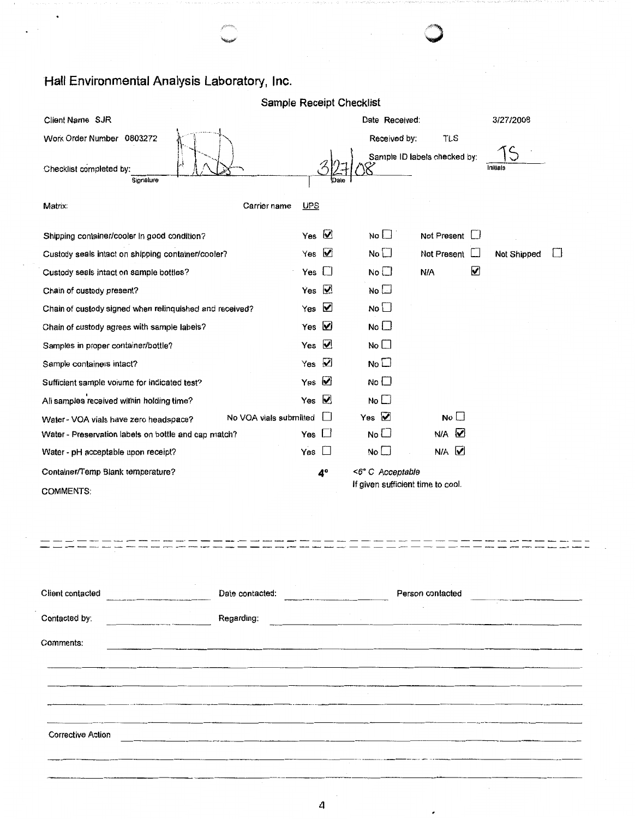#### **Hall Environmental Analysis Laboratory, Inc.**

|                                                         | Sample Receipt Checklist     |                             |                                   |                             |
|---------------------------------------------------------|------------------------------|-----------------------------|-----------------------------------|-----------------------------|
| Client Name SJR                                         |                              |                             | Date Received:                    | 3/27/2008                   |
| Work Order Number 0803272                               |                              |                             | Received by:<br>TLS               |                             |
| Checklist completed by:<br>Signature                    |                              |                             | Sample ID labels checked by:      | Initials                    |
| Matrix:                                                 | Carrier name<br><b>UPS</b>   |                             |                                   |                             |
| Shipping container/cooler in good condition?            | Yes $\boxed{\mathbf{V}}$     |                             | No $\square$<br>Not Present       |                             |
| Custody seals intact on shipping container/cooler?      | Yes $\boxed{\vee}$           | No $\square$                | Not Present                       | Not Shipped<br>$\mathbf{L}$ |
| Custody seals intact on sample bottles?                 | $\Box$<br>Yes                | $No \Box$                   | N/A                               | ☑                           |
| Chain of custody present?                               | Yes $\boxed{\vee}$           | No $\square$                |                                   |                             |
| Chain of custody signed when relinquished and received? | ✔<br>Yes                     | No                          |                                   |                             |
| Chain of custody agrees with sample labels?             | ☑<br>Yes                     | No <sub>1</sub>             |                                   |                             |
| Samples in proper container/bottle?                     | ☑<br>Yes                     | No $\square$                |                                   |                             |
| Sample containers intact?                               | $\boldsymbol{\nabla}$<br>Yes | No <sub>1</sub>             |                                   |                             |
| Sufficient sample volume for indicated test?            | ☑<br>Yes                     | No <sup>1</sup>             |                                   |                             |
| All samples received within holding time?               | $\blacktriangledown$<br>Yes  | No $\square$                |                                   |                             |
| Water - VOA vials have zero headspace?                  | No VOA vials submitted       | Yes $\overline{\mathbf{V}}$ | No                                |                             |
| Water - Preservation labels on bottle and cap match?    | $\Box$<br>Yes                | No                          | N/A Z                             |                             |
| Water - pH acceptable upon receipt?                     | Yes<br>$\Box$                | No $\square$                | $N/A$ $\overline{M}$              |                             |
| Container/Temp Blank temperature?                       | 4°                           |                             | <6° C Acceptable                  |                             |
| <b>COMMENTS:</b>                                        |                              |                             | If given sufficient time to cool. |                             |
|                                                         |                              |                             |                                   |                             |
|                                                         |                              |                             |                                   |                             |
|                                                         |                              |                             |                                   |                             |
|                                                         |                              |                             |                                   |                             |
| Client contacted<br>Date contacted:                     |                              |                             | Person contacted                  |                             |
| Regarding:<br>Contacted by:                             |                              |                             |                                   |                             |
| Comments:                                               |                              |                             |                                   |                             |
|                                                         |                              |                             |                                   |                             |
|                                                         |                              |                             |                                   |                             |
|                                                         |                              |                             |                                   |                             |
|                                                         |                              |                             |                                   |                             |
| Corrective Action                                       |                              |                             |                                   |                             |
|                                                         |                              |                             |                                   |                             |
|                                                         |                              |                             |                                   |                             |
|                                                         |                              |                             |                                   |                             |

 $\circledcirc$ 

4

 $\cdot$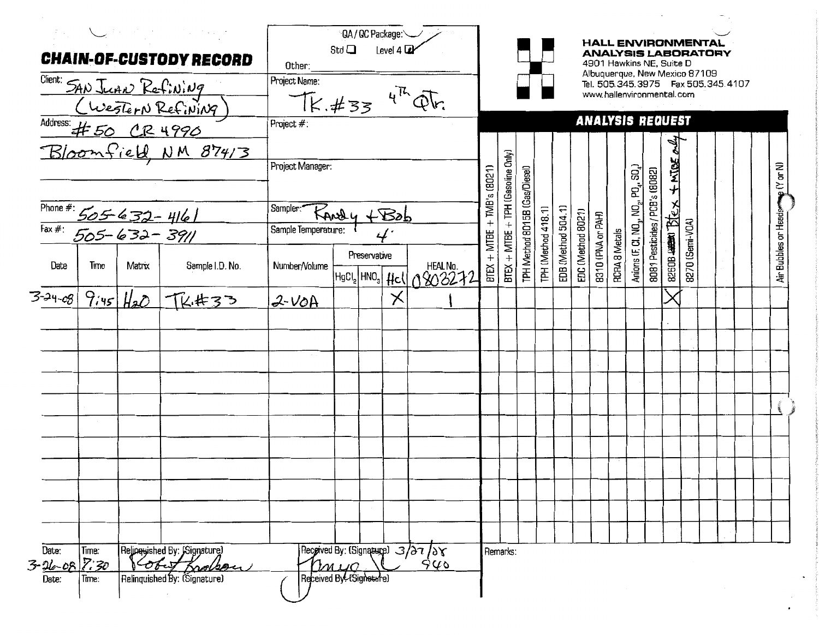|                                              |                        |                 | $\sum_{\alpha} \left\langle \left( \begin{array}{cc} \alpha & \beta \\ \beta & \gamma \end{array} \right) \right\rangle \left\langle \begin{array}{cc} \alpha & \beta \\ \beta & \gamma \end{array} \right\rangle = \left\langle \begin{array}{cc} \alpha & \beta \\ \beta & \gamma \end{array} \right\rangle \left\langle \begin{array}{cc} \alpha & \beta \\ \beta & \gamma \end{array} \right\rangle.$<br><b>CHAIN-OF-CUSTODY RECORD</b><br>Client: SAN JUAN Refining<br>(Western Refining)<br>Address: #50 CR 4990 | QA/QC Package:<br><b>HALL ENVIRONMENTAL</b><br>Std $\square$<br>Level 4 2<br><b>ANALYSIS LABORATORY</b><br>4901 Hawkins NE, Suite D<br>Other:<br>Albuquerque, New Mexico 87109<br>Project Name:<br>Tel. 505.345.3975    Fax 505.345.4107<br>$TK. #334\,4^{76}QF.$<br>www.hallenvironmental.com<br><b>ANALYSIS REQUEST</b><br>Project #: |      |              |          |                                                     |                  |                                   |                               |                    |                    |                   |                   |                      |                                                                                        |                                |                                                           |                 |  |  |                      |  |
|----------------------------------------------|------------------------|-----------------|------------------------------------------------------------------------------------------------------------------------------------------------------------------------------------------------------------------------------------------------------------------------------------------------------------------------------------------------------------------------------------------------------------------------------------------------------------------------------------------------------------------------|-----------------------------------------------------------------------------------------------------------------------------------------------------------------------------------------------------------------------------------------------------------------------------------------------------------------------------------------|------|--------------|----------|-----------------------------------------------------|------------------|-----------------------------------|-------------------------------|--------------------|--------------------|-------------------|-------------------|----------------------|----------------------------------------------------------------------------------------|--------------------------------|-----------------------------------------------------------|-----------------|--|--|----------------------|--|
| Phone #: 505-632-4161<br>Fax #: 505-632-3911 |                        |                 | Bloomfield, NM 87413                                                                                                                                                                                                                                                                                                                                                                                                                                                                                                   | Project Manager:<br>Sampler: Randly + Bob<br>Sample Temperature:                                                                                                                                                                                                                                                                        |      |              |          |                                                     | $+$ TMB's (8021) | BTEX + MTBE + TPH (Gasoline Only) | TPH Method 8015B (Gas/Diesel) |                    |                    |                   |                   |                      | Anions (F, CI, NO <sub>3</sub> , NO <sub>2</sub> , PO <sub>4</sub> , SO <sub>4</sub> ) | 8081 Pesticides / PCB's (8082) | $\frac{1}{2}$ 2010 $\frac{1}{2}$ (ex + NTOE $\frac{1}{2}$ |                 |  |  | Air Bubbles or Heads |  |
| Date<br>$3 - 24 - 68$                        | Time                   | Matrix          | Sample I.D. No.                                                                                                                                                                                                                                                                                                                                                                                                                                                                                                        | Number/Volume                                                                                                                                                                                                                                                                                                                           |      | Preservative | $\times$ | $HgCl2$ HNO <sub>3</sub> $HeCl$ $0\frac{903272}{2}$ | $BTEX + MTEE$    |                                   |                               | TPH (Method 418.1) | EDB (Method 504.1) | EDC (Method 8021) | 8310 (PNA or PAH) | <b>RCRA 8 Metals</b> |                                                                                        |                                |                                                           | 8270 (Semi-VOA) |  |  |                      |  |
|                                              |                        | $9.45$ $H_{20}$ | 下はおろう                                                                                                                                                                                                                                                                                                                                                                                                                                                                                                                  | $2$ -VOA<br>$\sim$                                                                                                                                                                                                                                                                                                                      |      |              |          |                                                     |                  |                                   |                               |                    |                    |                   |                   |                      |                                                                                        |                                |                                                           |                 |  |  |                      |  |
|                                              |                        |                 |                                                                                                                                                                                                                                                                                                                                                                                                                                                                                                                        |                                                                                                                                                                                                                                                                                                                                         |      |              |          |                                                     |                  |                                   |                               |                    |                    |                   |                   |                      |                                                                                        |                                |                                                           |                 |  |  |                      |  |
| Date:<br>$3 - 26 - 08$<br>Date:              | Time:<br>7.30<br>Time: |                 | Relinguished By: [Signature]<br>Obert Knowson<br>Relinquished By: (Signature)                                                                                                                                                                                                                                                                                                                                                                                                                                          | Received By-{Signature}                                                                                                                                                                                                                                                                                                                 | Muja |              |          | Received By: (Signature) 3/27/28<br>940             |                  | Remarks:                          |                               |                    |                    |                   |                   |                      |                                                                                        |                                |                                                           |                 |  |  |                      |  |